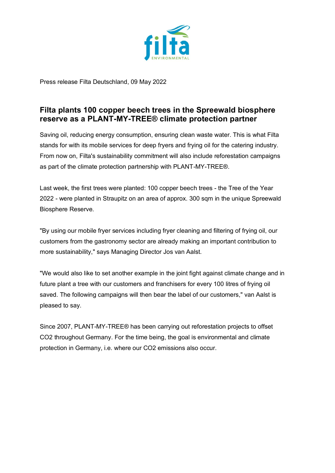

Press release Filta Deutschland, 09 May 2022

## **Filta plants 100 copper beech trees in the Spreewald biosphere reserve as a PLANT-MY-TREE® climate protection partner**

Saving oil, reducing energy consumption, ensuring clean waste water. This is what Filta stands for with its mobile services for deep fryers and frying oil for the catering industry. From now on, Filta's sustainability commitment will also include reforestation campaigns as part of the climate protection partnership with PLANT-MY-TREE®.

Last week, the first trees were planted: 100 copper beech trees - the Tree of the Year 2022 - were planted in Straupitz on an area of approx. 300 sqm in the unique Spreewald Biosphere Reserve.

"By using our mobile fryer services including fryer cleaning and filtering of frying oil, our customers from the gastronomy sector are already making an important contribution to more sustainability," says Managing Director Jos van Aalst.

"We would also like to set another example in the joint fight against climate change and in future plant a tree with our customers and franchisers for every 100 litres of frying oil saved. The following campaigns will then bear the label of our customers," van Aalst is pleased to say.

Since 2007, PLANT-MY-TREE® has been carrying out reforestation projects to offset CO2 throughout Germany. For the time being, the goal is environmental and climate protection in Germany, i.e. where our CO2 emissions also occur.